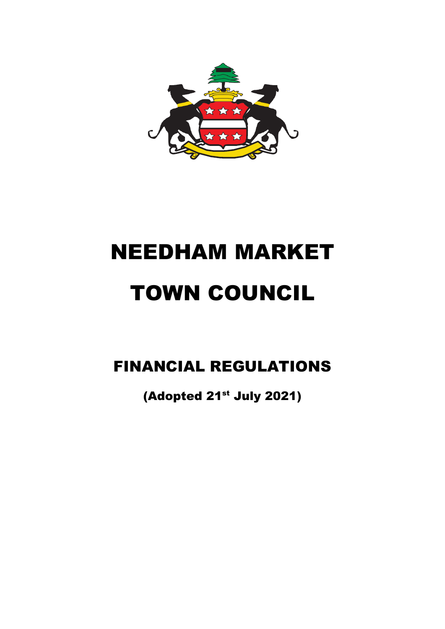

# NEEDHAM MARKET TOWN COUNCIL

## FINANCIAL REGULATIONS

(Adopted 21<sup>st</sup> July 2021)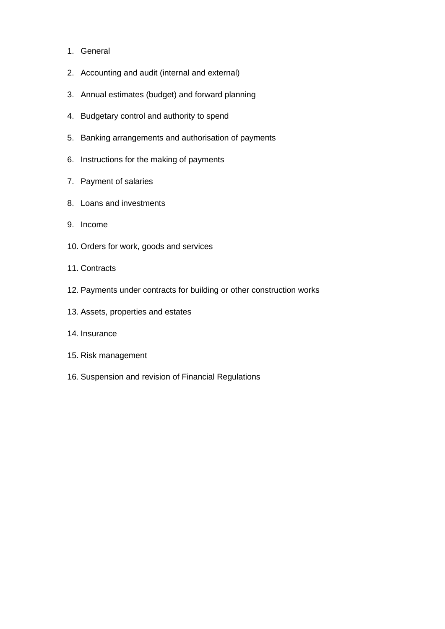- 1. General
- 2. Accounting and audit (internal and external)
- 3. Annual estimates (budget) and forward planning
- 4. Budgetary control and authority to spend
- 5. Banking arrangements and authorisation of payments
- 6. Instructions for the making of payments
- 7. Payment of salaries
- 8. Loans and investments
- 9. Income
- 10. Orders for work, goods and services
- 11. Contracts
- 12. Payments under contracts for building or other construction works
- 13. Assets, properties and estates
- 14. Insurance
- 15. Risk management
- 16. Suspension and revision of Financial Regulations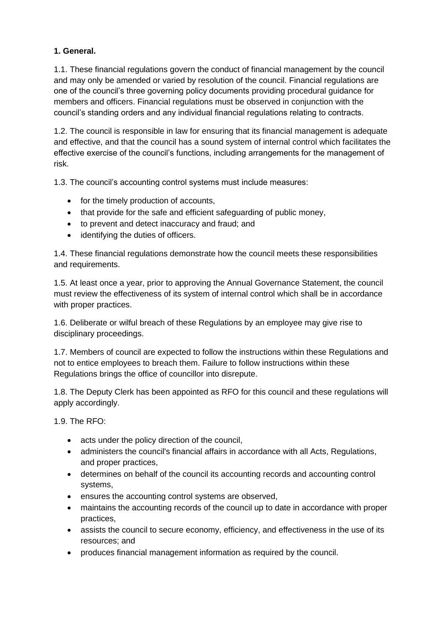#### **1. General.**

1.1. These financial regulations govern the conduct of financial management by the council and may only be amended or varied by resolution of the council. Financial regulations are one of the council's three governing policy documents providing procedural guidance for members and officers. Financial regulations must be observed in conjunction with the council's standing orders and any individual financial regulations relating to contracts.

1.2. The council is responsible in law for ensuring that its financial management is adequate and effective, and that the council has a sound system of internal control which facilitates the effective exercise of the council's functions, including arrangements for the management of risk.

1.3. The council's accounting control systems must include measures:

- for the timely production of accounts,
- that provide for the safe and efficient safeguarding of public money,
- to prevent and detect inaccuracy and fraud; and
- identifying the duties of officers.

1.4. These financial regulations demonstrate how the council meets these responsibilities and requirements.

1.5. At least once a year, prior to approving the Annual Governance Statement, the council must review the effectiveness of its system of internal control which shall be in accordance with proper practices.

1.6. Deliberate or wilful breach of these Regulations by an employee may give rise to disciplinary proceedings.

1.7. Members of council are expected to follow the instructions within these Regulations and not to entice employees to breach them. Failure to follow instructions within these Regulations brings the office of councillor into disrepute.

1.8. The Deputy Clerk has been appointed as RFO for this council and these regulations will apply accordingly.

1.9. The RFO:

- acts under the policy direction of the council,
- administers the council's financial affairs in accordance with all Acts, Regulations, and proper practices,
- determines on behalf of the council its accounting records and accounting control systems,
- ensures the accounting control systems are observed,
- maintains the accounting records of the council up to date in accordance with proper practices,
- assists the council to secure economy, efficiency, and effectiveness in the use of its resources; and
- produces financial management information as required by the council.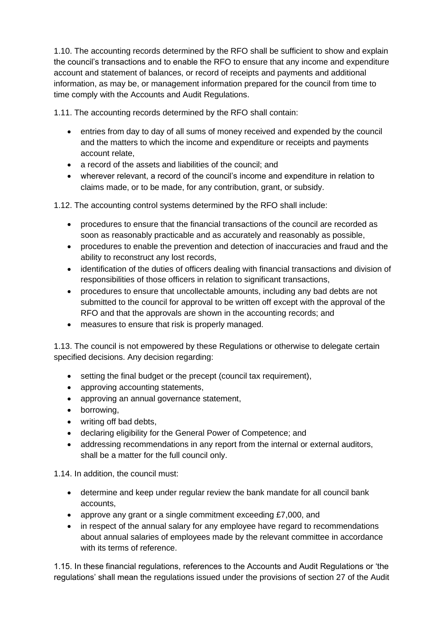1.10. The accounting records determined by the RFO shall be sufficient to show and explain the council's transactions and to enable the RFO to ensure that any income and expenditure account and statement of balances, or record of receipts and payments and additional information, as may be, or management information prepared for the council from time to time comply with the Accounts and Audit Regulations.

1.11. The accounting records determined by the RFO shall contain:

- entries from day to day of all sums of money received and expended by the council and the matters to which the income and expenditure or receipts and payments account relate,
- a record of the assets and liabilities of the council; and
- wherever relevant, a record of the council's income and expenditure in relation to claims made, or to be made, for any contribution, grant, or subsidy.

1.12. The accounting control systems determined by the RFO shall include:

- procedures to ensure that the financial transactions of the council are recorded as soon as reasonably practicable and as accurately and reasonably as possible,
- procedures to enable the prevention and detection of inaccuracies and fraud and the ability to reconstruct any lost records,
- identification of the duties of officers dealing with financial transactions and division of responsibilities of those officers in relation to significant transactions,
- procedures to ensure that uncollectable amounts, including any bad debts are not submitted to the council for approval to be written off except with the approval of the RFO and that the approvals are shown in the accounting records; and
- measures to ensure that risk is properly managed.

1.13. The council is not empowered by these Regulations or otherwise to delegate certain specified decisions. Any decision regarding:

- setting the final budget or the precept (council tax requirement),
- approving accounting statements,
- approving an annual governance statement,
- borrowing,
- writing off bad debts,
- declaring eligibility for the General Power of Competence; and
- addressing recommendations in any report from the internal or external auditors, shall be a matter for the full council only.

1.14. In addition, the council must:

- determine and keep under regular review the bank mandate for all council bank accounts,
- approve any grant or a single commitment exceeding £7,000, and
- in respect of the annual salary for any employee have regard to recommendations about annual salaries of employees made by the relevant committee in accordance with its terms of reference.

1.15. In these financial regulations, references to the Accounts and Audit Regulations or 'the regulations' shall mean the regulations issued under the provisions of section 27 of the Audit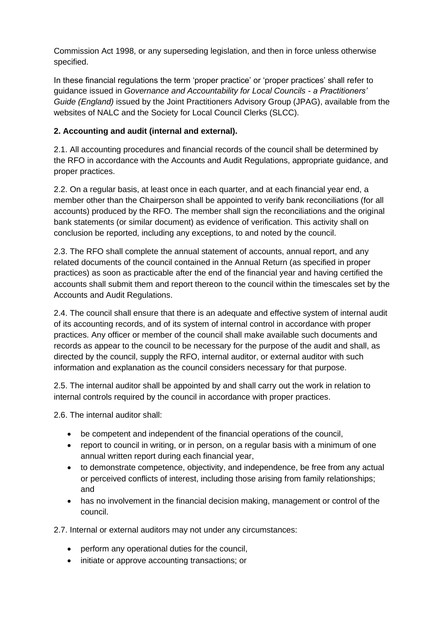Commission Act 1998, or any superseding legislation, and then in force unless otherwise specified.

In these financial regulations the term 'proper practice' or 'proper practices' shall refer to guidance issued in *Governance and Accountability for Local Councils - a Practitioners' Guide (England)* issued by the Joint Practitioners Advisory Group (JPAG), available from the websites of NALC and the Society for Local Council Clerks (SLCC).

### **2. Accounting and audit (internal and external).**

2.1. All accounting procedures and financial records of the council shall be determined by the RFO in accordance with the Accounts and Audit Regulations, appropriate guidance, and proper practices.

2.2. On a regular basis, at least once in each quarter, and at each financial year end, a member other than the Chairperson shall be appointed to verify bank reconciliations (for all accounts) produced by the RFO. The member shall sign the reconciliations and the original bank statements (or similar document) as evidence of verification. This activity shall on conclusion be reported, including any exceptions, to and noted by the council.

2.3. The RFO shall complete the annual statement of accounts, annual report, and any related documents of the council contained in the Annual Return (as specified in proper practices) as soon as practicable after the end of the financial year and having certified the accounts shall submit them and report thereon to the council within the timescales set by the Accounts and Audit Regulations.

2.4. The council shall ensure that there is an adequate and effective system of internal audit of its accounting records, and of its system of internal control in accordance with proper practices. Any officer or member of the council shall make available such documents and records as appear to the council to be necessary for the purpose of the audit and shall, as directed by the council, supply the RFO, internal auditor, or external auditor with such information and explanation as the council considers necessary for that purpose.

2.5. The internal auditor shall be appointed by and shall carry out the work in relation to internal controls required by the council in accordance with proper practices.

2.6. The internal auditor shall:

- be competent and independent of the financial operations of the council,
- report to council in writing, or in person, on a regular basis with a minimum of one annual written report during each financial year,
- to demonstrate competence, objectivity, and independence, be free from any actual or perceived conflicts of interest, including those arising from family relationships; and
- has no involvement in the financial decision making, management or control of the council.

2.7. Internal or external auditors may not under any circumstances:

- perform any operational duties for the council,
- initiate or approve accounting transactions; or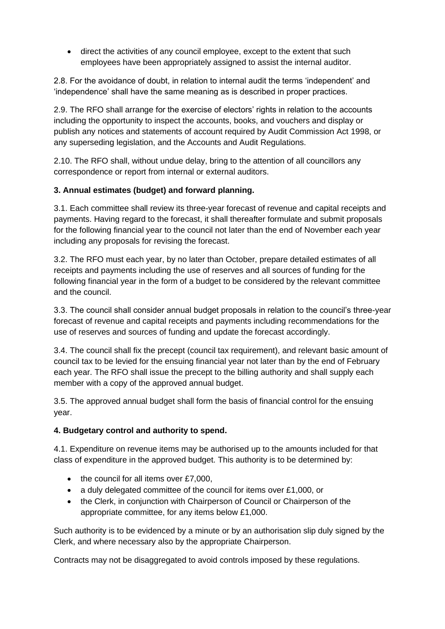• direct the activities of any council employee, except to the extent that such employees have been appropriately assigned to assist the internal auditor.

2.8. For the avoidance of doubt, in relation to internal audit the terms 'independent' and 'independence' shall have the same meaning as is described in proper practices.

2.9. The RFO shall arrange for the exercise of electors' rights in relation to the accounts including the opportunity to inspect the accounts, books, and vouchers and display or publish any notices and statements of account required by Audit Commission Act 1998, or any superseding legislation, and the Accounts and Audit Regulations.

2.10. The RFO shall, without undue delay, bring to the attention of all councillors any correspondence or report from internal or external auditors.

#### **3. Annual estimates (budget) and forward planning.**

3.1. Each committee shall review its three-year forecast of revenue and capital receipts and payments. Having regard to the forecast, it shall thereafter formulate and submit proposals for the following financial year to the council not later than the end of November each year including any proposals for revising the forecast.

3.2. The RFO must each year, by no later than October, prepare detailed estimates of all receipts and payments including the use of reserves and all sources of funding for the following financial year in the form of a budget to be considered by the relevant committee and the council.

3.3. The council shall consider annual budget proposals in relation to the council's three-year forecast of revenue and capital receipts and payments including recommendations for the use of reserves and sources of funding and update the forecast accordingly.

3.4. The council shall fix the precept (council tax requirement), and relevant basic amount of council tax to be levied for the ensuing financial year not later than by the end of February each year. The RFO shall issue the precept to the billing authority and shall supply each member with a copy of the approved annual budget.

3.5. The approved annual budget shall form the basis of financial control for the ensuing year.

#### **4. Budgetary control and authority to spend.**

4.1. Expenditure on revenue items may be authorised up to the amounts included for that class of expenditure in the approved budget. This authority is to be determined by:

- the council for all items over £7,000,
- a duly delegated committee of the council for items over £1,000, or
- the Clerk, in conjunction with Chairperson of Council or Chairperson of the appropriate committee, for any items below £1,000.

Such authority is to be evidenced by a minute or by an authorisation slip duly signed by the Clerk, and where necessary also by the appropriate Chairperson.

Contracts may not be disaggregated to avoid controls imposed by these regulations.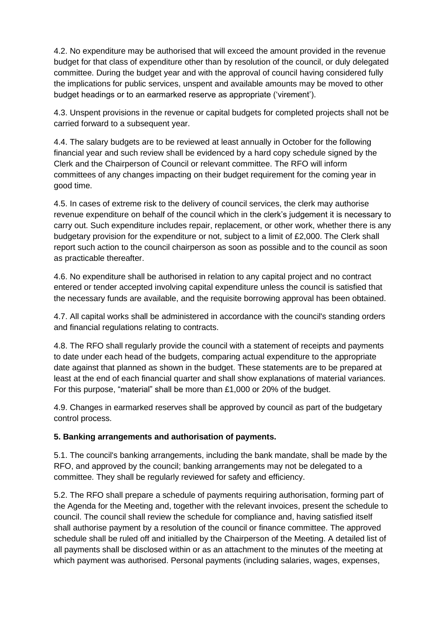4.2. No expenditure may be authorised that will exceed the amount provided in the revenue budget for that class of expenditure other than by resolution of the council, or duly delegated committee. During the budget year and with the approval of council having considered fully the implications for public services, unspent and available amounts may be moved to other budget headings or to an earmarked reserve as appropriate ('virement').

4.3. Unspent provisions in the revenue or capital budgets for completed projects shall not be carried forward to a subsequent year.

4.4. The salary budgets are to be reviewed at least annually in October for the following financial year and such review shall be evidenced by a hard copy schedule signed by the Clerk and the Chairperson of Council or relevant committee. The RFO will inform committees of any changes impacting on their budget requirement for the coming year in good time.

4.5. In cases of extreme risk to the delivery of council services, the clerk may authorise revenue expenditure on behalf of the council which in the clerk's judgement it is necessary to carry out. Such expenditure includes repair, replacement, or other work, whether there is any budgetary provision for the expenditure or not, subject to a limit of £2,000. The Clerk shall report such action to the council chairperson as soon as possible and to the council as soon as practicable thereafter.

4.6. No expenditure shall be authorised in relation to any capital project and no contract entered or tender accepted involving capital expenditure unless the council is satisfied that the necessary funds are available, and the requisite borrowing approval has been obtained.

4.7. All capital works shall be administered in accordance with the council's standing orders and financial regulations relating to contracts.

4.8. The RFO shall regularly provide the council with a statement of receipts and payments to date under each head of the budgets, comparing actual expenditure to the appropriate date against that planned as shown in the budget. These statements are to be prepared at least at the end of each financial quarter and shall show explanations of material variances. For this purpose, "material" shall be more than £1,000 or 20% of the budget.

4.9. Changes in earmarked reserves shall be approved by council as part of the budgetary control process.

#### **5. Banking arrangements and authorisation of payments.**

5.1. The council's banking arrangements, including the bank mandate, shall be made by the RFO, and approved by the council; banking arrangements may not be delegated to a committee. They shall be regularly reviewed for safety and efficiency.

5.2. The RFO shall prepare a schedule of payments requiring authorisation, forming part of the Agenda for the Meeting and, together with the relevant invoices, present the schedule to council. The council shall review the schedule for compliance and, having satisfied itself shall authorise payment by a resolution of the council or finance committee. The approved schedule shall be ruled off and initialled by the Chairperson of the Meeting. A detailed list of all payments shall be disclosed within or as an attachment to the minutes of the meeting at which payment was authorised. Personal payments (including salaries, wages, expenses,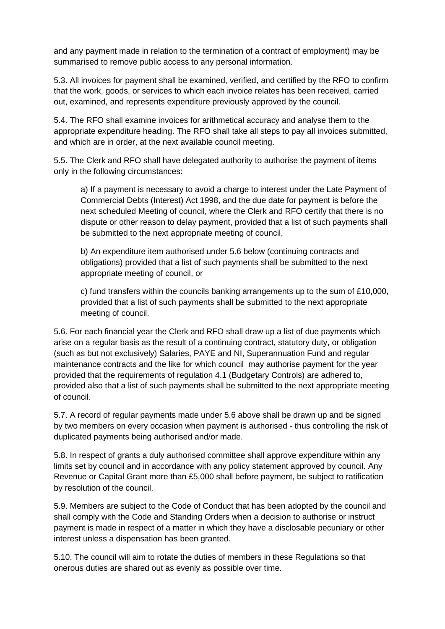and any payment made in relation to the termination of a contract of employment) may be summarised to remove public access to any personal information.

5.3. All invoices for payment shall be examined, verified, and certified by the RFO to confirm that the work, goods, or services to which each invoice relates has been received, carried out, examined, and represents expenditure previously approved by the council.

5.4. The RFO shall examine invoices for arithmetical accuracy and analyse them to the appropriate expenditure heading. The RFO shall take all steps to pay all invoices submitted, and which are in order, at the next available council meeting.

5.5. The Clerk and RFO shall have delegated authority to authorise the payment of items only in the following circumstances:

a) If a payment is necessary to avoid a charge to interest under the Late Payment of Commercial Debts (Interest) Act 1998, and the due date for payment is before the next scheduled Meeting of council, where the Clerk and RFO certify that there is no dispute or other reason to delay payment, provided that a list of such payments shall be submitted to the next appropriate meeting of council,

b) An expenditure item authorised under 5.6 below (continuing contracts and obligations) provided that a list of such payments shall be submitted to the next appropriate meeting of council, or

c) fund transfers within the councils banking arrangements up to the sum of £10,000, provided that a list of such payments shall be submitted to the next appropriate meeting of council.

5.6. For each financial year the Clerk and RFO shall draw up a list of due payments which arise on a regular basis as the result of a continuing contract, statutory duty, or obligation (such as but not exclusively) Salaries, PAYE and NI, Superannuation Fund and regular maintenance contracts and the like for which council may authorise payment for the year provided that the requirements of regulation 4.1 (Budgetary Controls) are adhered to, provided also that a list of such payments shall be submitted to the next appropriate meeting of council.

5.7. A record of regular payments made under 5.6 above shall be drawn up and be signed by two members on every occasion when payment is authorised - thus controlling the risk of duplicated payments being authorised and/or made.

5.8. In respect of grants a duly authorised committee shall approve expenditure within any limits set by council and in accordance with any policy statement approved by council. Any Revenue or Capital Grant more than £5,000 shall before payment, be subject to ratification by resolution of the council.

5.9. Members are subject to the Code of Conduct that has been adopted by the council and shall comply with the Code and Standing Orders when a decision to authorise or instruct payment is made in respect of a matter in which they have a disclosable pecuniary or other interest unless a dispensation has been granted.

5.10. The council will aim to rotate the duties of members in these Regulations so that onerous duties are shared out as evenly as possible over time.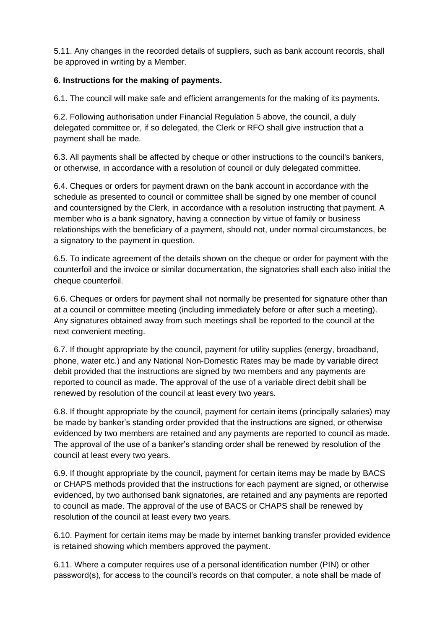5.11. Any changes in the recorded details of suppliers, such as bank account records, shall be approved in writing by a Member.

#### **6. Instructions for the making of payments.**

6.1. The council will make safe and efficient arrangements for the making of its payments.

6.2. Following authorisation under Financial Regulation 5 above, the council, a duly delegated committee or, if so delegated, the Clerk or RFO shall give instruction that a payment shall be made.

6.3. All payments shall be affected by cheque or other instructions to the council's bankers, or otherwise, in accordance with a resolution of council or duly delegated committee.

6.4. Cheques or orders for payment drawn on the bank account in accordance with the schedule as presented to council or committee shall be signed by one member of council and countersigned by the Clerk, in accordance with a resolution instructing that payment. A member who is a bank signatory, having a connection by virtue of family or business relationships with the beneficiary of a payment, should not, under normal circumstances, be a signatory to the payment in question.

6.5. To indicate agreement of the details shown on the cheque or order for payment with the counterfoil and the invoice or similar documentation, the signatories shall each also initial the cheque counterfoil.

6.6. Cheques or orders for payment shall not normally be presented for signature other than at a council or committee meeting (including immediately before or after such a meeting). Any signatures obtained away from such meetings shall be reported to the council at the next convenient meeting.

6.7. If thought appropriate by the council, payment for utility supplies (energy, broadband, phone, water etc.) and any National Non-Domestic Rates may be made by variable direct debit provided that the instructions are signed by two members and any payments are reported to council as made. The approval of the use of a variable direct debit shall be renewed by resolution of the council at least every two years.

6.8. If thought appropriate by the council, payment for certain items (principally salaries) may be made by banker's standing order provided that the instructions are signed, or otherwise evidenced by two members are retained and any payments are reported to council as made. The approval of the use of a banker's standing order shall be renewed by resolution of the council at least every two years.

6.9. If thought appropriate by the council, payment for certain items may be made by BACS or CHAPS methods provided that the instructions for each payment are signed, or otherwise evidenced, by two authorised bank signatories, are retained and any payments are reported to council as made. The approval of the use of BACS or CHAPS shall be renewed by resolution of the council at least every two years.

6.10. Payment for certain items may be made by internet banking transfer provided evidence is retained showing which members approved the payment.

6.11. Where a computer requires use of a personal identification number (PIN) or other password(s), for access to the council's records on that computer, a note shall be made of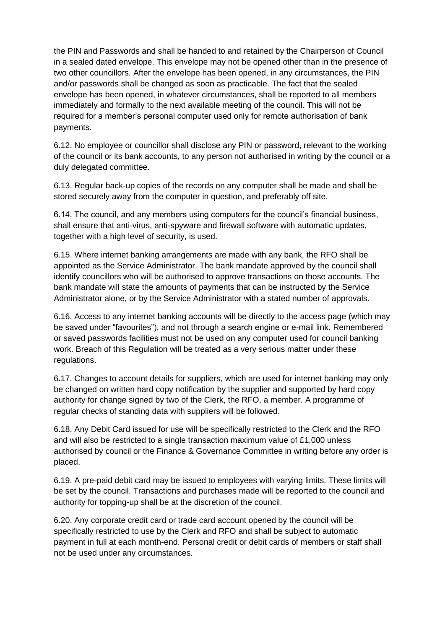the PIN and Passwords and shall be handed to and retained by the Chairperson of Council in a sealed dated envelope. This envelope may not be opened other than in the presence of two other councillors. After the envelope has been opened, in any circumstances, the PIN and/or passwords shall be changed as soon as practicable. The fact that the sealed envelope has been opened, in whatever circumstances, shall be reported to all members immediately and formally to the next available meeting of the council. This will not be required for a member's personal computer used only for remote authorisation of bank payments.

6.12. No employee or councillor shall disclose any PIN or password, relevant to the working of the council or its bank accounts, to any person not authorised in writing by the council or a duly delegated committee.

6.13. Regular back-up copies of the records on any computer shall be made and shall be stored securely away from the computer in question, and preferably off site.

6.14. The council, and any members using computers for the council's financial business, shall ensure that anti-virus, anti-spyware and firewall software with automatic updates, together with a high level of security, is used.

6.15. Where internet banking arrangements are made with any bank, the RFO shall be appointed as the Service Administrator. The bank mandate approved by the council shall identify councillors who will be authorised to approve transactions on those accounts. The bank mandate will state the amounts of payments that can be instructed by the Service Administrator alone, or by the Service Administrator with a stated number of approvals.

6.16. Access to any internet banking accounts will be directly to the access page (which may be saved under "favourites"), and not through a search engine or e-mail link. Remembered or saved passwords facilities must not be used on any computer used for council banking work. Breach of this Regulation will be treated as a very serious matter under these regulations.

6.17. Changes to account details for suppliers, which are used for internet banking may only be changed on written hard copy notification by the supplier and supported by hard copy authority for change signed by two of the Clerk, the RFO, a member. A programme of regular checks of standing data with suppliers will be followed.

6.18. Any Debit Card issued for use will be specifically restricted to the Clerk and the RFO and will also be restricted to a single transaction maximum value of  $£1,000$  unless authorised by council or the Finance & Governance Committee in writing before any order is placed.

6.19. A pre-paid debit card may be issued to employees with varying limits. These limits will be set by the council. Transactions and purchases made will be reported to the council and authority for topping-up shall be at the discretion of the council.

6.20. Any corporate credit card or trade card account opened by the council will be specifically restricted to use by the Clerk and RFO and shall be subject to automatic payment in full at each month-end. Personal credit or debit cards of members or staff shall not be used under any circumstances.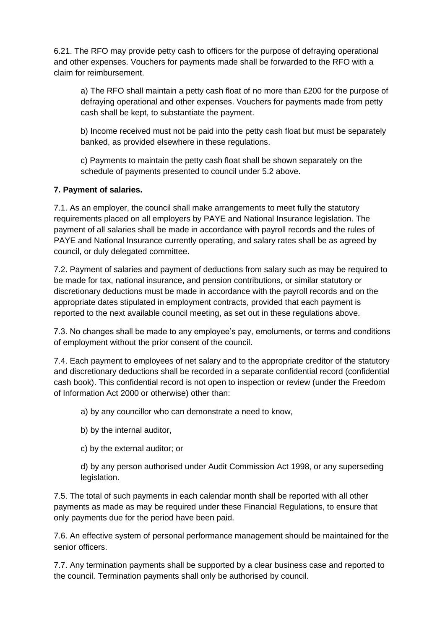6.21. The RFO may provide petty cash to officers for the purpose of defraying operational and other expenses. Vouchers for payments made shall be forwarded to the RFO with a claim for reimbursement.

a) The RFO shall maintain a petty cash float of no more than £200 for the purpose of defraying operational and other expenses. Vouchers for payments made from petty cash shall be kept, to substantiate the payment.

b) Income received must not be paid into the petty cash float but must be separately banked, as provided elsewhere in these regulations.

c) Payments to maintain the petty cash float shall be shown separately on the schedule of payments presented to council under 5.2 above.

#### **7. Payment of salaries.**

7.1. As an employer, the council shall make arrangements to meet fully the statutory requirements placed on all employers by PAYE and National Insurance legislation. The payment of all salaries shall be made in accordance with payroll records and the rules of PAYE and National Insurance currently operating, and salary rates shall be as agreed by council, or duly delegated committee.

7.2. Payment of salaries and payment of deductions from salary such as may be required to be made for tax, national insurance, and pension contributions, or similar statutory or discretionary deductions must be made in accordance with the payroll records and on the appropriate dates stipulated in employment contracts, provided that each payment is reported to the next available council meeting, as set out in these regulations above.

7.3. No changes shall be made to any employee's pay, emoluments, or terms and conditions of employment without the prior consent of the council.

7.4. Each payment to employees of net salary and to the appropriate creditor of the statutory and discretionary deductions shall be recorded in a separate confidential record (confidential cash book). This confidential record is not open to inspection or review (under the Freedom of Information Act 2000 or otherwise) other than:

a) by any councillor who can demonstrate a need to know,

- b) by the internal auditor,
- c) by the external auditor; or

d) by any person authorised under Audit Commission Act 1998, or any superseding legislation.

7.5. The total of such payments in each calendar month shall be reported with all other payments as made as may be required under these Financial Regulations, to ensure that only payments due for the period have been paid.

7.6. An effective system of personal performance management should be maintained for the senior officers.

7.7. Any termination payments shall be supported by a clear business case and reported to the council. Termination payments shall only be authorised by council.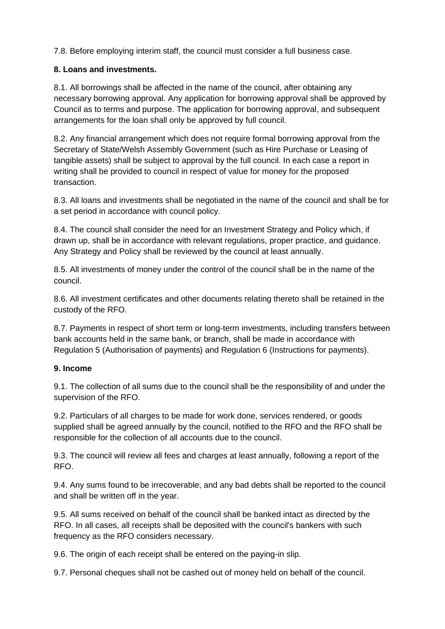7.8. Before employing interim staff, the council must consider a full business case.

#### **8. Loans and investments.**

8.1. All borrowings shall be affected in the name of the council, after obtaining any necessary borrowing approval. Any application for borrowing approval shall be approved by Council as to terms and purpose. The application for borrowing approval, and subsequent arrangements for the loan shall only be approved by full council.

8.2. Any financial arrangement which does not require formal borrowing approval from the Secretary of State/Welsh Assembly Government (such as Hire Purchase or Leasing of tangible assets) shall be subject to approval by the full council. In each case a report in writing shall be provided to council in respect of value for money for the proposed transaction.

8.3. All loans and investments shall be negotiated in the name of the council and shall be for a set period in accordance with council policy.

8.4. The council shall consider the need for an Investment Strategy and Policy which, if drawn up, shall be in accordance with relevant regulations, proper practice, and guidance. Any Strategy and Policy shall be reviewed by the council at least annually.

8.5. All investments of money under the control of the council shall be in the name of the council.

8.6. All investment certificates and other documents relating thereto shall be retained in the custody of the RFO.

8.7. Payments in respect of short term or long-term investments, including transfers between bank accounts held in the same bank, or branch, shall be made in accordance with Regulation 5 (Authorisation of payments) and Regulation 6 (Instructions for payments).

#### **9. Income**

9.1. The collection of all sums due to the council shall be the responsibility of and under the supervision of the RFO.

9.2. Particulars of all charges to be made for work done, services rendered, or goods supplied shall be agreed annually by the council, notified to the RFO and the RFO shall be responsible for the collection of all accounts due to the council.

9.3. The council will review all fees and charges at least annually, following a report of the RFO.

9.4. Any sums found to be irrecoverable, and any bad debts shall be reported to the council and shall be written off in the year.

9.5. All sums received on behalf of the council shall be banked intact as directed by the RFO. In all cases, all receipts shall be deposited with the council's bankers with such frequency as the RFO considers necessary.

9.6. The origin of each receipt shall be entered on the paying-in slip.

9.7. Personal cheques shall not be cashed out of money held on behalf of the council.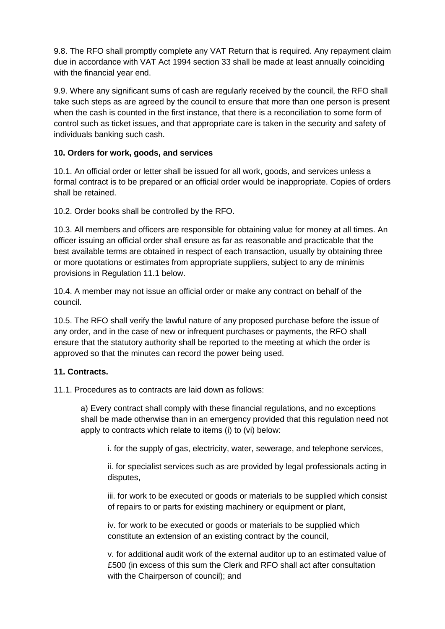9.8. The RFO shall promptly complete any VAT Return that is required. Any repayment claim due in accordance with VAT Act 1994 section 33 shall be made at least annually coinciding with the financial year end.

9.9. Where any significant sums of cash are regularly received by the council, the RFO shall take such steps as are agreed by the council to ensure that more than one person is present when the cash is counted in the first instance, that there is a reconciliation to some form of control such as ticket issues, and that appropriate care is taken in the security and safety of individuals banking such cash.

#### **10. Orders for work, goods, and services**

10.1. An official order or letter shall be issued for all work, goods, and services unless a formal contract is to be prepared or an official order would be inappropriate. Copies of orders shall be retained.

10.2. Order books shall be controlled by the RFO.

10.3. All members and officers are responsible for obtaining value for money at all times. An officer issuing an official order shall ensure as far as reasonable and practicable that the best available terms are obtained in respect of each transaction, usually by obtaining three or more quotations or estimates from appropriate suppliers, subject to any de minimis provisions in Regulation 11.1 below.

10.4. A member may not issue an official order or make any contract on behalf of the council.

10.5. The RFO shall verify the lawful nature of any proposed purchase before the issue of any order, and in the case of new or infrequent purchases or payments, the RFO shall ensure that the statutory authority shall be reported to the meeting at which the order is approved so that the minutes can record the power being used.

#### **11. Contracts.**

11.1. Procedures as to contracts are laid down as follows:

a) Every contract shall comply with these financial regulations, and no exceptions shall be made otherwise than in an emergency provided that this regulation need not apply to contracts which relate to items (i) to (vi) below:

i. for the supply of gas, electricity, water, sewerage, and telephone services,

ii. for specialist services such as are provided by legal professionals acting in disputes,

iii. for work to be executed or goods or materials to be supplied which consist of repairs to or parts for existing machinery or equipment or plant,

iv. for work to be executed or goods or materials to be supplied which constitute an extension of an existing contract by the council,

v. for additional audit work of the external auditor up to an estimated value of £500 (in excess of this sum the Clerk and RFO shall act after consultation with the Chairperson of council); and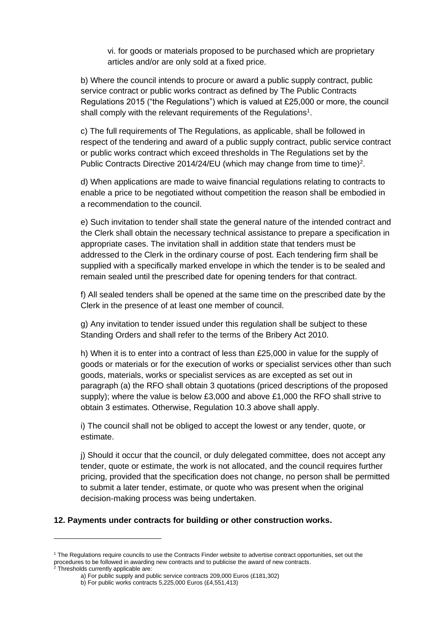vi. for goods or materials proposed to be purchased which are proprietary articles and/or are only sold at a fixed price.

b) Where the council intends to procure or award a public supply contract, public service contract or public works contract as defined by The Public Contracts Regulations 2015 ("the Regulations") which is valued at £25,000 or more, the council shall comply with the relevant requirements of the Regulations<sup>1</sup>.

c) The full requirements of The Regulations, as applicable, shall be followed in respect of the tendering and award of a public supply contract, public service contract or public works contract which exceed thresholds in The Regulations set by the Public Contracts Directive 2014/24/EU (which may change from time to time)<sup>2</sup>.

d) When applications are made to waive financial regulations relating to contracts to enable a price to be negotiated without competition the reason shall be embodied in a recommendation to the council.

e) Such invitation to tender shall state the general nature of the intended contract and the Clerk shall obtain the necessary technical assistance to prepare a specification in appropriate cases. The invitation shall in addition state that tenders must be addressed to the Clerk in the ordinary course of post. Each tendering firm shall be supplied with a specifically marked envelope in which the tender is to be sealed and remain sealed until the prescribed date for opening tenders for that contract.

f) All sealed tenders shall be opened at the same time on the prescribed date by the Clerk in the presence of at least one member of council.

g) Any invitation to tender issued under this regulation shall be subject to these Standing Orders and shall refer to the terms of the Bribery Act 2010.

h) When it is to enter into a contract of less than £25,000 in value for the supply of goods or materials or for the execution of works or specialist services other than such goods, materials, works or specialist services as are excepted as set out in paragraph (a) the RFO shall obtain 3 quotations (priced descriptions of the proposed supply); where the value is below £3,000 and above £1,000 the RFO shall strive to obtain 3 estimates. Otherwise, Regulation 10.3 above shall apply.

i) The council shall not be obliged to accept the lowest or any tender, quote, or estimate.

j) Should it occur that the council, or duly delegated committee, does not accept any tender, quote or estimate, the work is not allocated, and the council requires further pricing, provided that the specification does not change, no person shall be permitted to submit a later tender, estimate, or quote who was present when the original decision-making process was being undertaken.

#### **12. Payments under contracts for building or other construction works.**

<sup>1</sup> The Regulations require councils to use the Contracts Finder website to advertise contract opportunities, set out the procedures to be followed in awarding new contracts and to publicise the award of new contracts.

 $2$  Thresholds currently applicable are:

a) For public supply and public service contracts 209,000 Euros (£181,302)

b) For public works contracts 5,225,000 Euros (£4,551,413)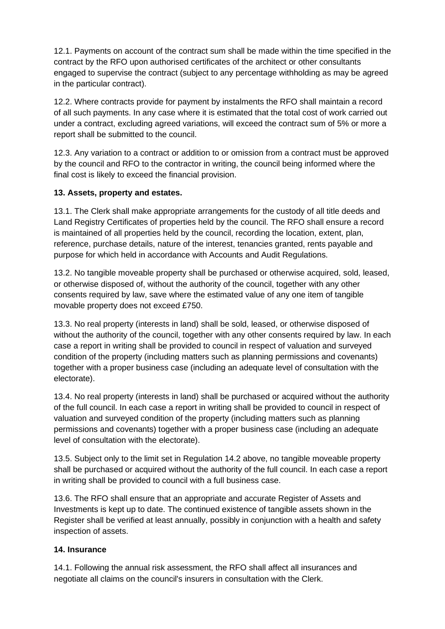12.1. Payments on account of the contract sum shall be made within the time specified in the contract by the RFO upon authorised certificates of the architect or other consultants engaged to supervise the contract (subject to any percentage withholding as may be agreed in the particular contract).

12.2. Where contracts provide for payment by instalments the RFO shall maintain a record of all such payments. In any case where it is estimated that the total cost of work carried out under a contract, excluding agreed variations, will exceed the contract sum of 5% or more a report shall be submitted to the council.

12.3. Any variation to a contract or addition to or omission from a contract must be approved by the council and RFO to the contractor in writing, the council being informed where the final cost is likely to exceed the financial provision.

#### **13. Assets, property and estates.**

13.1. The Clerk shall make appropriate arrangements for the custody of all title deeds and Land Registry Certificates of properties held by the council. The RFO shall ensure a record is maintained of all properties held by the council, recording the location, extent, plan, reference, purchase details, nature of the interest, tenancies granted, rents payable and purpose for which held in accordance with Accounts and Audit Regulations.

13.2. No tangible moveable property shall be purchased or otherwise acquired, sold, leased, or otherwise disposed of, without the authority of the council, together with any other consents required by law, save where the estimated value of any one item of tangible movable property does not exceed £750.

13.3. No real property (interests in land) shall be sold, leased, or otherwise disposed of without the authority of the council, together with any other consents required by law. In each case a report in writing shall be provided to council in respect of valuation and surveyed condition of the property (including matters such as planning permissions and covenants) together with a proper business case (including an adequate level of consultation with the electorate).

13.4. No real property (interests in land) shall be purchased or acquired without the authority of the full council. In each case a report in writing shall be provided to council in respect of valuation and surveyed condition of the property (including matters such as planning permissions and covenants) together with a proper business case (including an adequate level of consultation with the electorate).

13.5. Subject only to the limit set in Regulation 14.2 above, no tangible moveable property shall be purchased or acquired without the authority of the full council. In each case a report in writing shall be provided to council with a full business case.

13.6. The RFO shall ensure that an appropriate and accurate Register of Assets and Investments is kept up to date. The continued existence of tangible assets shown in the Register shall be verified at least annually, possibly in conjunction with a health and safety inspection of assets.

#### **14. Insurance**

14.1. Following the annual risk assessment, the RFO shall affect all insurances and negotiate all claims on the council's insurers in consultation with the Clerk.